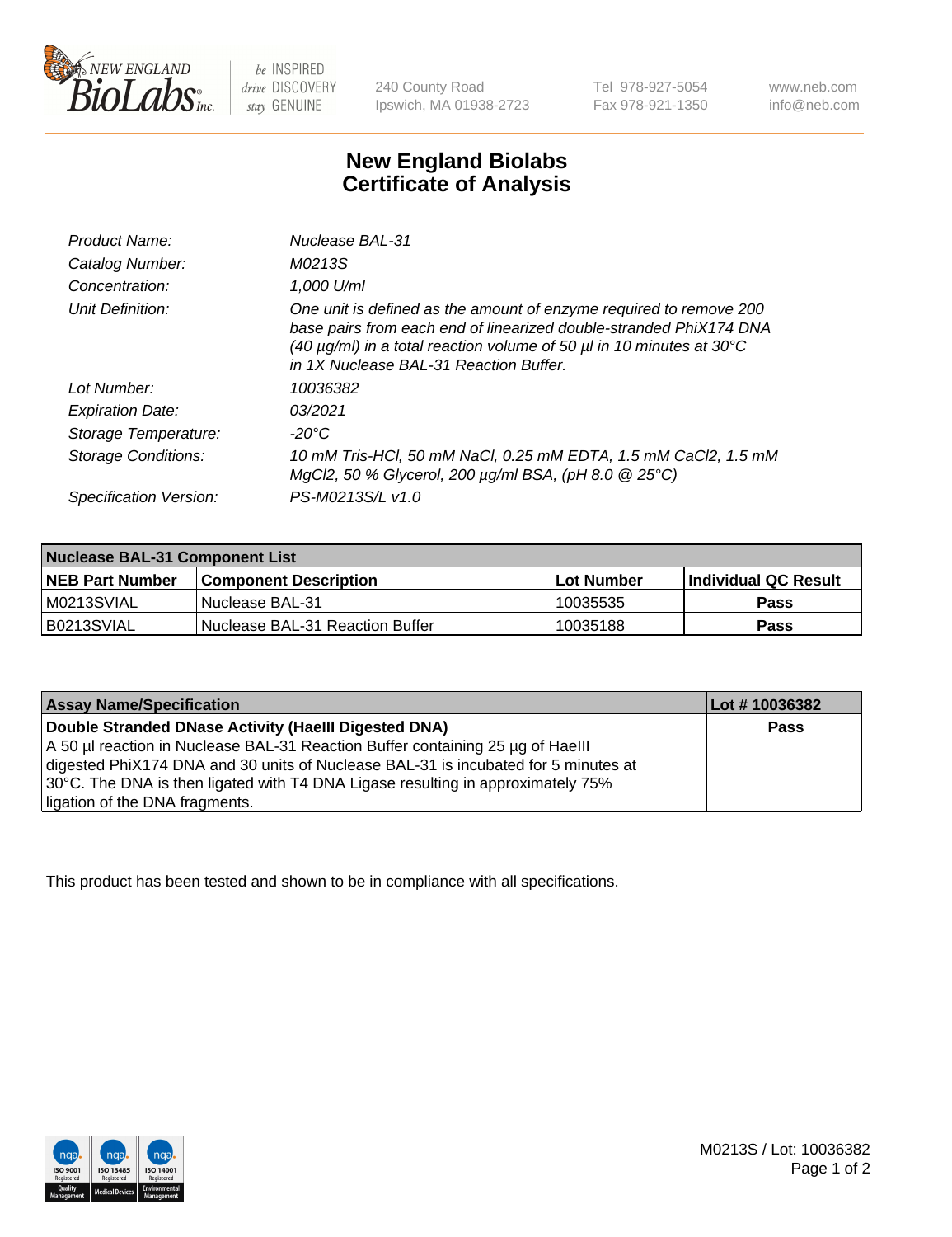

 $be$  INSPIRED drive DISCOVERY stay GENUINE

240 County Road Ipswich, MA 01938-2723 Tel 978-927-5054 Fax 978-921-1350

www.neb.com info@neb.com

## **New England Biolabs Certificate of Analysis**

| Product Name:              | Nuclease BAL-31                                                                                                                                                                                                                                                                |
|----------------------------|--------------------------------------------------------------------------------------------------------------------------------------------------------------------------------------------------------------------------------------------------------------------------------|
| Catalog Number:            | M0213S                                                                                                                                                                                                                                                                         |
| Concentration:             | 1,000 U/ml                                                                                                                                                                                                                                                                     |
| Unit Definition:           | One unit is defined as the amount of enzyme required to remove 200<br>base pairs from each end of linearized double-stranded PhiX174 DNA<br>(40 $\mu$ g/ml) in a total reaction volume of 50 $\mu$ l in 10 minutes at 30 $\degree$ C<br>in 1X Nuclease BAL-31 Reaction Buffer. |
| Lot Number:                | 10036382                                                                                                                                                                                                                                                                       |
| <b>Expiration Date:</b>    | 03/2021                                                                                                                                                                                                                                                                        |
| Storage Temperature:       | $-20^{\circ}$ C                                                                                                                                                                                                                                                                |
| <b>Storage Conditions:</b> | 10 mM Tris-HCl, 50 mM NaCl, 0.25 mM EDTA, 1.5 mM CaCl2, 1.5 mM<br>MgCl2, 50 % Glycerol, 200 $\mu$ g/ml BSA, (pH 8.0 $\circledR$ 25°C)                                                                                                                                          |
| Specification Version:     | PS-M0213S/L v1.0                                                                                                                                                                                                                                                               |

| Nuclease BAL-31 Component List |                                  |              |                             |  |
|--------------------------------|----------------------------------|--------------|-----------------------------|--|
| <b>NEB Part Number</b>         | <b>Component Description</b>     | l Lot Number | <b>Individual QC Result</b> |  |
| M0213SVIAL                     | l Nuclease BAL-31                | 10035535     | <b>Pass</b>                 |  |
| IB0213SVIAL                    | INuclease BAL-31 Reaction Buffer | 10035188     | Pass                        |  |

| <b>Assay Name/Specification</b>                                                    | Lot # 10036382 |
|------------------------------------------------------------------------------------|----------------|
| Double Stranded DNase Activity (Haelll Digested DNA)                               | <b>Pass</b>    |
| A 50 µl reaction in Nuclease BAL-31 Reaction Buffer containing 25 µg of Haelll     |                |
| digested PhiX174 DNA and 30 units of Nuclease BAL-31 is incubated for 5 minutes at |                |
| 30°C. The DNA is then ligated with T4 DNA Ligase resulting in approximately 75%    |                |
| ligation of the DNA fragments.                                                     |                |

This product has been tested and shown to be in compliance with all specifications.